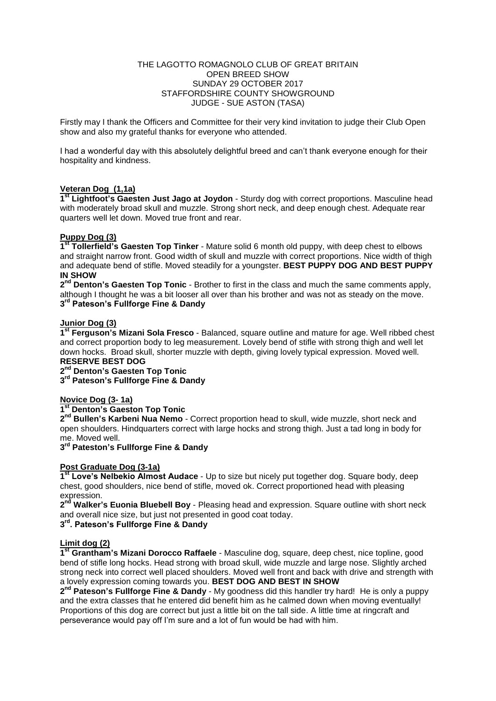#### THE LAGOTTO ROMAGNOLO CLUB OF GREAT BRITAIN OPEN BREED SHOW SUNDAY 29 OCTOBER 2017 STAFFORDSHIRE COUNTY SHOWGROUND JUDGE - SUE ASTON (TASA)

Firstly may I thank the Officers and Committee for their very kind invitation to judge their Club Open show and also my grateful thanks for everyone who attended.

I had a wonderful day with this absolutely delightful breed and can't thank everyone enough for their hospitality and kindness.

## **Veteran Dog (1,1a)**

1<sup>st</sup> Lightfoot's Gaesten Just Jago at Joydon - Sturdy dog with correct proportions. Masculine head with moderately broad skull and muzzle. Strong short neck, and deep enough chest. Adequate rear quarters well let down. Moved true front and rear.

## **Puppy Dog (3)**

**1 st Tollerfield's Gaesten Top Tinker** - Mature solid 6 month old puppy, with deep chest to elbows and straight narrow front. Good width of skull and muzzle with correct proportions. Nice width of thigh and adequate bend of stifle. Moved steadily for a youngster. **BEST PUPPY DOG AND BEST PUPPY IN SHOW**

2<sup>nd</sup> Denton's Gaesten Top Tonic - Brother to first in the class and much the same comments apply, although I thought he was a bit looser all over than his brother and was not as steady on the move. **3 rd Pateson's Fullforge Fine & Dandy**

# **Junior Dog (3)**

**1 st Ferguson's Mizani Sola Fresco** - Balanced, square outline and mature for age. Well ribbed chest and correct proportion body to leg measurement. Lovely bend of stifle with strong thigh and well let down hocks. Broad skull, shorter muzzle with depth, giving lovely typical expression. Moved well. **RESERVE BEST DOG**

**2 nd Denton's Gaesten Top Tonic**

**3 rd Pateson's Fullforge Fine & Dandy**

# **Novice Dog (3- 1a)**

## **1 st Denton's Gaeston Top Tonic**

2<sup>nd</sup> Bullen's Karbeni Nua Nemo - Correct proportion head to skull, wide muzzle, short neck and open shoulders. Hindquarters correct with large hocks and strong thigh. Just a tad long in body for me. Moved well.

## **3 rd Pateston's Fullforge Fine & Dandy**

## **Post Graduate Dog (3-1a)**

**1 st Love's Nelbekio Almost Audace** - Up to size but nicely put together dog. Square body, deep chest, good shoulders, nice bend of stifle, moved ok. Correct proportioned head with pleasing expression.

**2 nd Walker's Euonia Bluebell Boy** - Pleasing head and expression. Square outline with short neck and overall nice size, but just not presented in good coat today.

# **3 rd. Pateson's Fullforge Fine & Dandy**

## **Limit dog (2)**

**1 st Grantham's Mizani Dorocco Raffaele** - Masculine dog, square, deep chest, nice topline, good bend of stifle long hocks. Head strong with broad skull, wide muzzle and large nose. Slightly arched strong neck into correct well placed shoulders. Moved well front and back with drive and strength with a lovely expression coming towards you. **BEST DOG AND BEST IN SHOW**

**2 nd Pateson's Fullforge Fine & Dandy** - My goodness did this handler try hard! He is only a puppy and the extra classes that he entered did benefit him as he calmed down when moving eventually! Proportions of this dog are correct but just a little bit on the tall side. A little time at ringcraft and perseverance would pay off I'm sure and a lot of fun would be had with him.